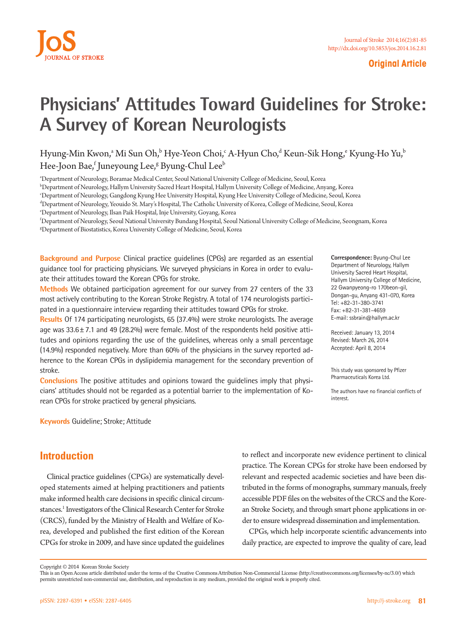

#### **Original Article**

# **Physicians' Attitudes Toward Guidelines for Stroke: A Survey of Korean Neurologists**

Hyung-Min Kwon,ª Mi Sun Oh, $^{\rm b}$  Hye-Yeon Choi, $^{\rm c}$  A-Hyun Cho, $^{\rm d}$  Keun-Sik Hong, $^{\rm e}$  Kyung-Ho Yu, $^{\rm b}$ Hee-Joon Bae,<sup>f</sup> Juneyoung Lee,<sup>g</sup> Byung-Chul Lee<sup>b</sup>

a Department of Neurology, Boramae Medical Center, Seoul National University College of Medicine, Seoul, Korea

b Department of Neurology, Hallym University Sacred Heart Hospital, Hallym University College of Medicine, Anyang, Korea

c Department of Neurology, Gangdong Kyung Hee University Hospital, Kyung Hee University College of Medicine, Seoul, Korea

d Department of Neurology, Yeouido St. Mary's Hospital, The Catholic University of Korea, College of Medicine, Seoul, Korea

e Department of Neurology, Ilsan Paik Hospital, Inje University, Goyang, Korea

f Department of Neurology, Seoul National University Bundang Hospital, Seoul National University College of Medicine, Seongnam, Korea g Department of Biostatistics, Korea University College of Medicine, Seoul, Korea

**Background and Purpose** Clinical practice guidelines (CPGs) are regarded as an essential guidance tool for practicing physicians. We surveyed physicians in Korea in order to evaluate their attitudes toward the Korean CPGs for stroke.

**Methods** We obtained participation agreement for our survey from 27 centers of the 33 most actively contributing to the Korean Stroke Registry. A total of 174 neurologists participated in a questionnaire interview regarding their attitudes toward CPGs for stroke.

**Results** Of 174 participating neurologists, 65 (37.4%) were stroke neurologists. The average age was  $33.6 \pm 7.1$  and 49 (28.2%) were female. Most of the respondents held positive attitudes and opinions regarding the use of the guidelines, whereas only a small percentage (14.9%) responded negatively. More than 60% of the physicians in the survey reported adherence to the Korean CPGs in dyslipidemia management for the secondary prevention of stroke.

**Conclusions** The positive attitudes and opinions toward the guidelines imply that physicians' attitudes should not be regarded as a potential barrier to the implementation of Korean CPGs for stroke practiced by general physicians.

**Keywords** Guideline; Stroke; Attitude

### **Introduction**

Clinical practice guidelines (CPGs) are systematically developed statements aimed at helping practitioners and patients make informed health care decisions in specific clinical circumstances.<sup>1</sup> Investigators of the Clinical Research Center for Stroke (CRCS), funded by the Ministry of Health and Welfare of Korea, developed and published the first edition of the Korean CPGs for stroke in 2009, and have since updated the guidelines

to reflect and incorporate new evidence pertinent to clinical practice. The Korean CPGs for stroke have been endorsed by relevant and respected academic societies and have been distributed in the forms of monographs, summary manuals, freely accessible PDF files on the websites of the CRCS and the Korean Stroke Society, and through smart phone applications in order to ensure widespread dissemination and implementation.

CPGs, which help incorporate scientific advancements into daily practice, are expected to improve the quality of care, lead

**Correspondence:** Byung-Chul Lee Department of Neurology, Hallym University Sacred Heart Hospital, Hallym University College of Medicine, 22 Gwanpyeong-ro 170beon-gil, Dongan-gu, Anyang 431-070, Korea Tel: +82-31-380-3741 Fax: +82-31-381-4659 E-mail: ssbrain@hallym.ac.kr

Received: January 13, 2014 Revised: March 26, 2014 Accepted: April 8, 2014

This study was sponsored by Pfizer Pharmaceuticals Korea Ltd.

The authors have no financial conflicts of interest.

Copyright © 2014 Korean Stroke Society

This is an Open Access article distributed under the terms of the Creative Commons Attribution Non-Commercial License (http://creativecommons.org/licenses/by-nc/3.0/) which permits unrestricted non-commercial use, distribution, and reproduction in any medium, provided the original work is properly cited.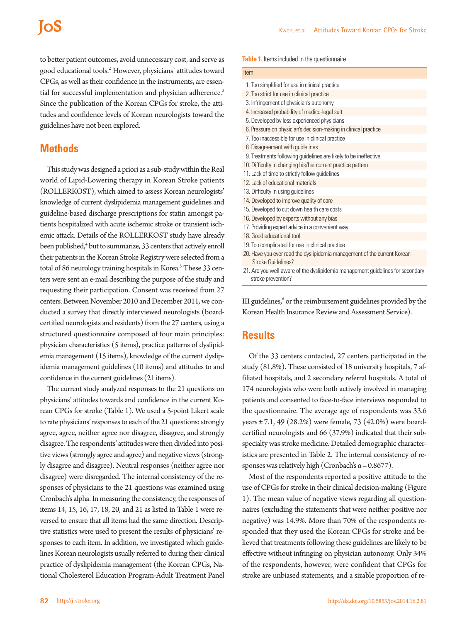# **IoS**

to better patient outcomes, avoid unnecessary cost, and serve as good educational tools.2 However, physicians' attitudes toward CPGs, as well as their confidence in the instruments, are essential for successful implementation and physician adherence.<sup>3</sup> Since the publication of the Korean CPGs for stroke, the attitudes and confidence levels of Korean neurologists toward the guidelines have not been explored.

#### **Methods**

This study was designed a priori as a sub-study within the Real world of Lipid-Lowering therapy in Korean Stroke patients (ROLLERKOST), which aimed to assess Korean neurologists' knowledge of current dyslipidemia management guidelines and guideline-based discharge prescriptions for statin amongst patients hospitalized with acute ischemic stroke or transient ischemic attack. Details of the ROLLERKOST study have already been published,<sup>4</sup> but to summarize, 33 centers that actively enroll their patients in the Korean Stroke Registry were selected from a total of 86 neurology training hospitals in Korea.<sup>5</sup> These 33 centers were sent an e-mail describing the purpose of the study and requesting their participation. Consent was received from 27 centers. Between November 2010 and December 2011, we conducted a survey that directly interviewed neurologists (boardcertified neurologists and residents) from the 27 centers, using a structured questionnaire composed of four main principles: physician characteristics (5 items), practice patterns of dyslipidemia management (15 items), knowledge of the current dyslipidemia management guidelines (10 items) and attitudes to and confidence in the current guidelines (21 items).

The current study analyzed responses to the 21 questions on physicians' attitudes towards and confidence in the current Korean CPGs for stroke (Table 1). We used a 5-point Likert scale to rate physicians' responses to each of the 21 questions: strongly agree, agree, neither agree nor disagree, disagree, and strongly disagree. The respondents' attitudes were then divided into positive views (strongly agree and agree) and negative views (strongly disagree and disagree). Neutral responses (neither agree nor disagree) were disregarded. The internal consistency of the responses of physicians to the 21 questions was examined using Cronbach's alpha. In measuring the consistency, the responses of items 14, 15, 16, 17, 18, 20, and 21 as listed in Table 1 were reversed to ensure that all items had the same direction. Descriptive statistics were used to present the results of physicians' responses to each item. In addition, we investigated which guidelines Korean neurologists usually referred to during their clinical practice of dyslipidemia management (the Korean CPGs, National Cholesterol Education Program-Adult Treatment Panel

| 1. Too simplified for use in clinical practice                                                       |
|------------------------------------------------------------------------------------------------------|
| 2. Too strict for use in clinical practice                                                           |
| 3. Infringement of physician's autonomy                                                              |
| 4. Increased probability of medico-legal suit                                                        |
| 5. Developed by less experienced physicians                                                          |
| 6. Pressure on physician's decision-making in clinical practice                                      |
| 7. Too inaccessible for use in clinical practice                                                     |
| 8. Disagreement with guidelines                                                                      |
| 9. Treatments following guidelines are likely to be ineffective                                      |
| 10. Difficulty in changing his/her current practice pattern                                          |
| 11. Lack of time to strictly follow guidelines                                                       |
| 12 Lack of educational materials                                                                     |
| 13. Difficulty in using guidelines                                                                   |
| 14. Developed to improve quality of care                                                             |
| 15. Developed to cut down health care costs                                                          |
| 16. Developed by experts without any bias                                                            |
| 17. Providing expert advice in a convenient way                                                      |
| 18 Good educational tool                                                                             |
| 19. Too complicated for use in clinical practice                                                     |
| 20. Have you ever read the dyslipidemia management of the current Korean<br>Stroke Guidelines?       |
| 21. Are you well aware of the dyslipidemia management guidelines for secondary<br>stroke prevention? |

III guidelines,<sup>6</sup> or the reimbursement guidelines provided by the Korean Health Insurance Review and Assessment Service).

#### **Results**

Of the 33 centers contacted, 27 centers participated in the study (81.8%). These consisted of 18 university hospitals, 7 affiliated hospitals, and 2 secondary referral hospitals. A total of 174 neurologists who were both actively involved in managing patients and consented to face-to-face interviews responded to the questionnaire. The average age of respondents was 33.6 years ± 7.1, 49 (28.2%) were female, 73 (42.0%) were boardcertified neurologists and 66 (37.9%) indicated that their subspecialty was stroke medicine. Detailed demographic characteristics are presented in Table 2. The internal consistency of responses was relatively high (Cronbach's  $\alpha$  = 0.8677).

Most of the respondents reported a positive attitude to the use of CPGs for stroke in their clinical decision-making (Figure 1). The mean value of negative views regarding all questionnaires (excluding the statements that were neither positive nor negative) was 14.9%. More than 70% of the respondents responded that they used the Korean CPGs for stroke and believed that treatments following these guidelines are likely to be effective without infringing on physician autonomy. Only 34% of the respondents, however, were confident that CPGs for stroke are unbiased statements, and a sizable proportion of re-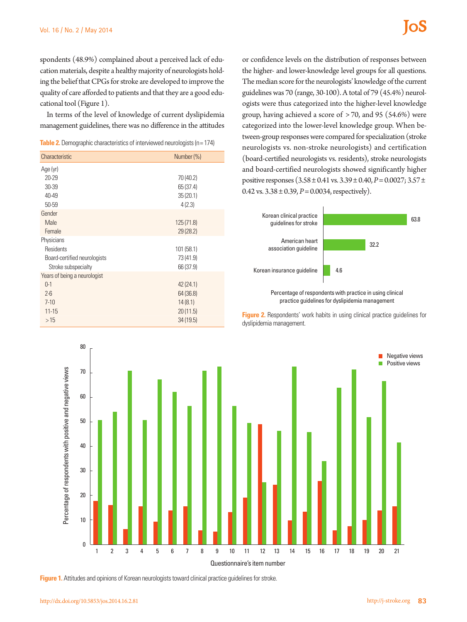spondents (48.9%) complained about a perceived lack of education materials, despite a healthy majority of neurologists holding the belief that CPGs for stroke are developed to improve the quality of care afforded to patients and that they are a good educational tool (Figure 1).

In terms of the level of knowledge of current dyslipidemia management guidelines, there was no difference in the attitudes

| <b>Table 2.</b> Demographic characteristics of interviewed neurologists ( $n = 174$ ) |  |  |
|---------------------------------------------------------------------------------------|--|--|
|---------------------------------------------------------------------------------------|--|--|

| Characteristic               | Number (%) |  |  |  |
|------------------------------|------------|--|--|--|
| Age (yr)                     |            |  |  |  |
| 20-29                        | 70 (40.2)  |  |  |  |
| 30-39                        | 65 (37.4)  |  |  |  |
| 40-49                        | 35(20.1)   |  |  |  |
| 50-59                        | 4(2.3)     |  |  |  |
| Gender                       |            |  |  |  |
| Male                         | 125(71.8)  |  |  |  |
| Female                       | 29(28.2)   |  |  |  |
| Physicians                   |            |  |  |  |
| Residents                    | 101 (58.1) |  |  |  |
| Board-certified neurologists | 73 (41.9)  |  |  |  |
| Stroke subspecialty          | 66 (37.9)  |  |  |  |
| Years of being a neurologist |            |  |  |  |
| $0-1$                        | 42(24.1)   |  |  |  |
| $2 - 6$                      | 64 (36.8)  |  |  |  |
| $7 - 10$                     | 14(8.1)    |  |  |  |
| $11 - 15$                    | 20(11.5)   |  |  |  |
| >15                          | 34(19.5)   |  |  |  |

or confidence levels on the distribution of responses between the higher- and lower-knowledge level groups for all questions. The median score for the neurologists' knowledge of the current guidelines was 70 (range, 30-100). A total of 79 (45.4%) neurologists were thus categorized into the higher-level knowledge group, having achieved a score of > 70, and 95 (54.6%) were categorized into the lower-level knowledge group. When between-group responses were compared for specialization (stroke neurologists vs. non-stroke neurologists) and certification (board-certified neurologists vs. residents), stroke neurologists and board-certified neurologists showed significantly higher positive responses (3.58 ± 0.41 vs. 3.39 ± 0.40, *P*= 0.0027; 3.57 ± 0.42 vs.  $3.38 \pm 0.39$ ,  $P = 0.0034$ , respectively).





**Figure 2.** Respondents' work habits in using clinical practice quidelines for dyslipidemia management.



**Figure 1.** Attitudes and opinions of Korean neurologists toward clinical practice guidelines for stroke.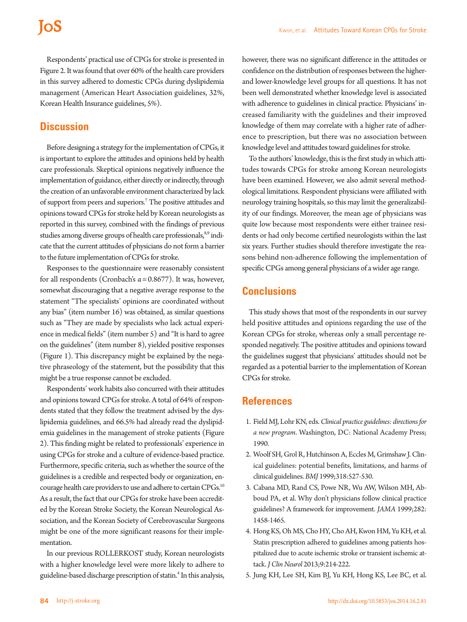## **IoS**

Respondents' practical use of CPGs for stroke is presented in Figure 2. It was found that over 60% of the health care providers in this survey adhered to domestic CPGs during dyslipidemia management (American Heart Association guidelines, 32%, Korean Health Insurance guidelines, 5%).

### **Discussion**

Before designing a strategy for the implementation of CPGs, it is important to explore the attitudes and opinions held by health care professionals. Skeptical opinions negatively influence the implementation of guidance, either directly or indirectly, through the creation of an unfavorable environment characterized by lack of support from peers and superiors.7 The positive attitudes and opinions toward CPGs for stroke held by Korean neurologists as reported in this survey, combined with the findings of previous studies among diverse groups of health care professionals,<sup>8,9</sup> indicate that the current attitudes of physicians do not form a barrier to the future implementation of CPGs for stroke.

Responses to the questionnaire were reasonably consistent for all respondents (Cronbach's  $\alpha$  = 0.8677). It was, however, somewhat discouraging that a negative average response to the statement "The specialists' opinions are coordinated without any bias" (item number 16) was obtained, as similar questions such as "They are made by specialists who lack actual experience in medical fields" (item number 5) and "It is hard to agree on the guidelines" (item number 8), yielded positive responses (Figure 1). This discrepancy might be explained by the negative phraseology of the statement, but the possibility that this might be a true response cannot be excluded.

Respondents' work habits also concurred with their attitudes and opinions toward CPGs for stroke. A total of 64% of respondents stated that they follow the treatment advised by the dyslipidemia guidelines, and 66.5% had already read the dyslipidemia guidelines in the management of stroke patients (Figure 2). This finding might be related to professionals' experience in using CPGs for stroke and a culture of evidence-based practice. Furthermore, specific criteria, such as whether the source of the guidelines is a credible and respected body or organization, encourage health care providers to use and adhere to certain CPGs.<sup>10</sup> As a result, the fact that our CPGs for stroke have been accredited by the Korean Stroke Society, the Korean Neurological Association, and the Korean Society of Cerebrovascular Surgeons might be one of the more significant reasons for their implementation.

In our previous ROLLERKOST study, Korean neurologists with a higher knowledge level were more likely to adhere to guideline-based discharge prescription of statin.<sup>4</sup> In this analysis, however, there was no significant difference in the attitudes or confidence on the distribution of responses between the higherand lower-knowledge level groups for all questions. It has not been well demonstrated whether knowledge level is associated with adherence to guidelines in clinical practice. Physicians' increased familiarity with the guidelines and their improved knowledge of them may correlate with a higher rate of adherence to prescription, but there was no association between knowledge level and attitudes toward guidelines for stroke.

To the authors' knowledge, this is the first study in which attitudes towards CPGs for stroke among Korean neurologists have been examined. However, we also admit several methodological limitations. Respondent physicians were affiliated with neurology training hospitals, so this may limit the generalizability of our findings. Moreover, the mean age of physicians was quite low because most respondents were either trainee residents or had only become certified neurologists within the last six years. Further studies should therefore investigate the reasons behind non-adherence following the implementation of specific CPGs among general physicians of a wider age range.

## **Conclusions**

This study shows that most of the respondents in our survey held positive attitudes and opinions regarding the use of the Korean CPGs for stroke, whereas only a small percentage responded negatively. The positive attitudes and opinions toward the guidelines suggest that physicians' attitudes should not be regarded as a potential barrier to the implementation of Korean CPGs for stroke.

### **References**

- 1. Field MJ, Lohr KN, eds. *Clinical practice guidelines: directions for a new program*. Washington, DC: National Academy Press; 1990.
- 2. Woolf SH, Grol R, Hutchinson A, Eccles M, Grimshaw J. Clinical guidelines: potential benefits, limitations, and harms of clinical guidelines. *BMJ* 1999;318:527-530.
- 3. Cabana MD, Rand CS, Powe NR, Wu AW, Wilson MH, Abboud PA, et al. Why don't physicians follow clinical practice guidelines? A framework for improvement. *JAMA* 1999;282: 1458-1465.
- 4. Hong KS, Oh MS, Cho HY, Cho AH, Kwon HM, Yu KH, et al. Statin prescription adhered to guidelines among patients hospitalized due to acute ischemic stroke or transient ischemic attack. *J Clin Neurol* 2013;9:214-222.
- 5. Jung KH, Lee SH, Kim BJ, Yu KH, Hong KS, Lee BC, et al.